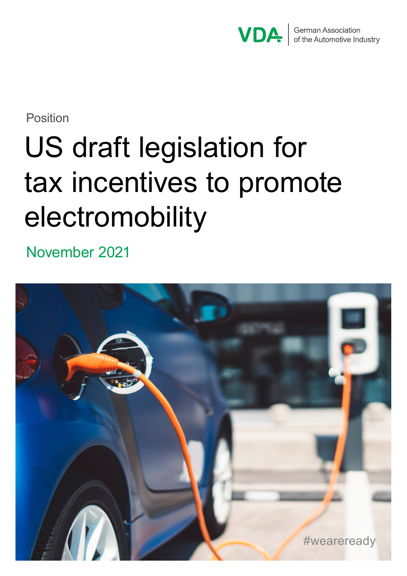

Position

# US draft legislation for tax incentives to promote electromobility

November 2021

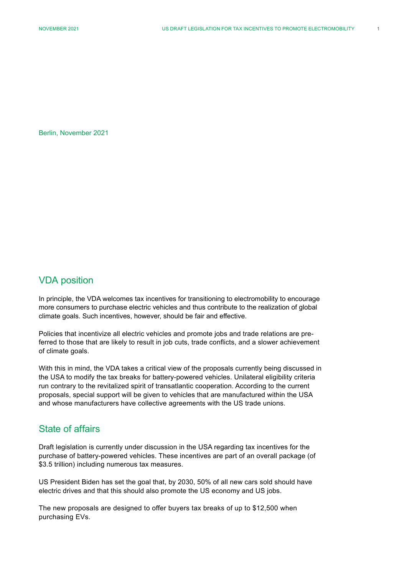Berlin, November 2021

#### VDA position

In principle, the VDA welcomes tax incentives for transitioning to electromobility to encourage more consumers to purchase electric vehicles and thus contribute to the realization of global climate goals. Such incentives, however, should be fair and effective.

Policies that incentivize all electric vehicles and promote jobs and trade relations are preferred to those that are likely to result in job cuts, trade conflicts, and a slower achievement of climate goals.

With this in mind, the VDA takes a critical view of the proposals currently being discussed in the USA to modify the tax breaks for battery-powered vehicles. Unilateral eligibility criteria run contrary to the revitalized spirit of transatlantic cooperation. According to the current proposals, special support will be given to vehicles that are manufactured within the USA and whose manufacturers have collective agreements with the US trade unions.

#### State of affairs

Draft legislation is currently under discussion in the USA regarding tax incentives for the purchase of battery-powered vehicles. These incentives are part of an overall package (of \$3.5 trillion) including numerous tax measures.

US President Biden has set the goal that, by 2030, 50% of all new cars sold should have electric drives and that this should also promote the US economy and US jobs.

The new proposals are designed to offer buyers tax breaks of up to \$12,500 when purchasing EVs.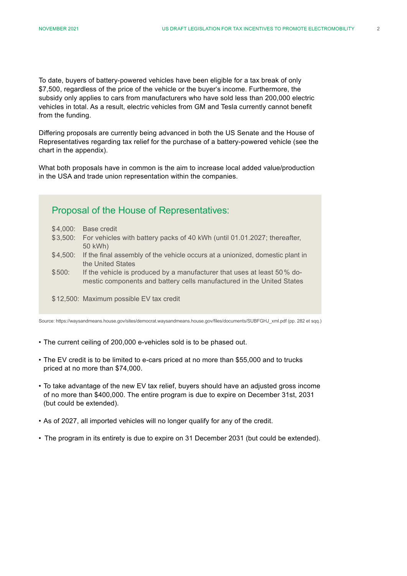To date, buyers of battery-powered vehicles have been eligible for a tax break of only \$7,500, regardless of the price of the vehicle or the buyer's income. Furthermore, the subsidy only applies to cars from manufacturers who have sold less than 200,000 electric vehicles in total. As a result, electric vehicles from GM and Tesla currently cannot benefit from the funding.

Differing proposals are currently being advanced in both the US Senate and the House of Representatives regarding tax relief for the purchase of a battery-powered vehicle (see the chart in the appendix).

What both proposals have in common is the aim to increase local added value/production in the USA and trade union representation within the companies.

## Proposal of the House of Representatives:

- \$4,000: Base credit
- \$3,500: For vehicles with battery packs of 40 kWh (until 01.01.2027; thereafter, 50 kWh)
- \$4,500: If the final assembly of the vehicle occurs at a unionized, domestic plant in the United States
- \$500: If the vehicle is produced by a manufacturer that uses at least 50% domestic components and battery cells manufactured in the United States
- \$12,500: Maximum possible EV tax credit

Source: https://waysandmeans.house.gov/sites/democrat.waysandmeans.house.gov/files/documents/SUBFGHJ\_xml.pdf (pp. 282 et sqq.)

- The current ceiling of 200,000 e-vehicles sold is to be phased out.
- The EV credit is to be limited to e-cars priced at no more than \$55,000 and to trucks priced at no more than \$74,000.
- To take advantage of the new EV tax relief, buyers should have an adjusted gross income of no more than \$400,000. The entire program is due to expire on December 31st, 2031 (but could be extended).
- As of 2027, all imported vehicles will no longer qualify for any of the credit.
- The program in its entirety is due to expire on 31 December 2031 (but could be extended).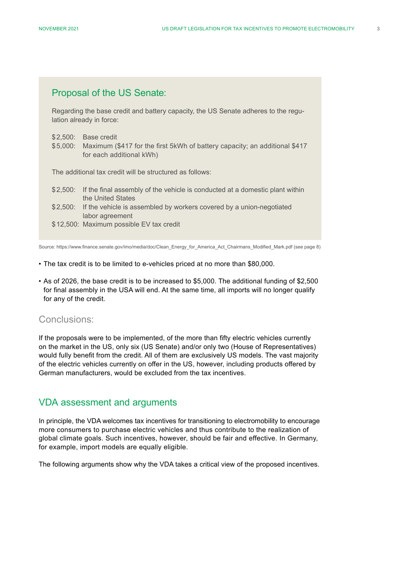#### Proposal of the US Senate:

Regarding the base credit and battery capacity, the US Senate adheres to the regulation already in force:

- \$2,500: Base credit
- \$5,000: Maximum (\$417 for the first 5kWh of battery capacity; an additional \$417 for each additional kWh)

The additional tax credit will be structured as follows:

- \$2,500: If the final assembly of the vehicle is conducted at a domestic plant within the United States
- \$2,500: If the vehicle is assembled by workers covered by a union-negotiated labor agreement
- \$12,500: Maximum possible EV tax credit

Source: https://www.finance.senate.gov/imo/media/doc/Clean\_Energy\_for\_America\_Act\_Chairmans\_Modified\_Mark.pdf (see page 8)

- The tax credit is to be limited to e-vehicles priced at no more than \$80,000.
- As of 2026, the base credit is to be increased to \$5,000. The additional funding of \$2,500 for final assembly in the USA will end. At the same time, all imports will no longer qualify for any of the credit.

#### Conclusions:

If the proposals were to be implemented, of the more than fifty electric vehicles currently on the market in the US, only six (US Senate) and/or only two (House of Representatives) would fully benefit from the credit. All of them are exclusively US models. The vast majority of the electric vehicles currently on offer in the US, however, including products offered by German manufacturers, would be excluded from the tax incentives.

#### VDA assessment and arguments

In principle, the VDA welcomes tax incentives for transitioning to electromobility to encourage more consumers to purchase electric vehicles and thus contribute to the realization of global climate goals. Such incentives, however, should be fair and effective. In Germany, for example, import models are equally eligible.

The following arguments show why the VDA takes a critical view of the proposed incentives.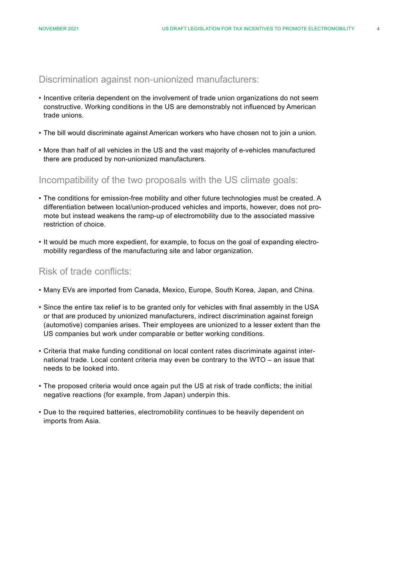Discrimination against non-unionized manufacturers:

- Incentive criteria dependent on the involvement of trade union organizations do not seem constructive. Working conditions in the US are demonstrably not influenced by American trade unions.
- The bill would discriminate against American workers who have chosen not to join a union.
- More than half of all vehicles in the US and the vast majority of e-vehicles manufactured there are produced by non-unionized manufacturers.

Incompatibility of the two proposals with the US climate goals:

- The conditions for emission-free mobility and other future technologies must be created. A differentiation between local/union-produced vehicles and imports, however, does not promote but instead weakens the ramp-up of electromobility due to the associated massive restriction of choice.
- It would be much more expedient, for example, to focus on the goal of expanding electromobility regardless of the manufacturing site and labor organization.

#### Risk of trade conflicts:

- Many EVs are imported from Canada, Mexico, Europe, South Korea, Japan, and China.
- Since the entire tax relief is to be granted only for vehicles with final assembly in the USA or that are produced by unionized manufacturers, indirect discrimination against foreign (automotive) companies arises. Their employees are unionized to a lesser extent than the US companies but work under comparable or better working conditions.
- Criteria that make funding conditional on local content rates discriminate against international trade. Local content criteria may even be contrary to the WTO – an issue that needs to be looked into.
- The proposed criteria would once again put the US at risk of trade conflicts; the initial negative reactions (for example, from Japan) underpin this.
- Due to the required batteries, electromobility continues to be heavily dependent on imports from Asia.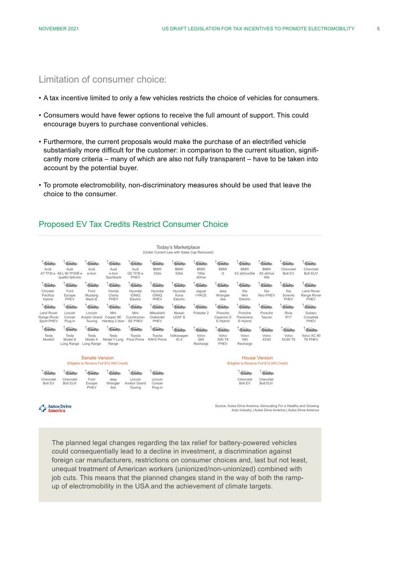#### Limitation of consumer choice:

- A tax incentive limited to only a few vehicles restricts the choice of vehicles for consumers.
- Consumers would have fewer options to receive the full amount of support. This could encourage buyers to purchase conventional vehicles.
- Furthermore, the current proposals would make the purchase of an electrified vehicle substantially more difficult for the customer: in comparison to the current situation, significantly more criteria – many of which are also not fully transparent – have to be taken into account by the potential buyer.
- To promote electromobility, non-discriminatory measures should be used that leave the choice to the consumer.

#### Proposed EV Tax Credits Restrict Consumer Choice

Today's Marketplace

(Under Current Law with Sales Cap Removed)

| $\sqrt{2}$<br>$\cap$<br>Audi<br>A7 TFSI e      | Audi<br>A8 L 60 TFSI® e<br>quattro tiptronic | $\rightarrow$<br>Audi<br>e-tron     | $\rightarrow$<br>Audi<br>e-tron<br>Sportback | $\rightarrow$<br>Audi<br>Q5 TFSI e<br>PHEV | $\leftarrow$<br><b>BMW</b><br>330e | ് വ<br><b>BMW</b><br>530e   | TO .<br><b>BMW</b><br>745e<br>xDrive | <b>BMW</b><br>i3                 | <b>BMW</b><br>X3 xDrive30e      | <b>BMW</b><br>X5 xDrive<br>40e | $\sqrt{2}$<br>Chevrolet<br>Bolt EV | $\rightarrow$<br>Chevrolet<br><b>Bolt EUV</b> |
|------------------------------------------------|----------------------------------------------|-------------------------------------|----------------------------------------------|--------------------------------------------|------------------------------------|-----------------------------|--------------------------------------|----------------------------------|---------------------------------|--------------------------------|------------------------------------|-----------------------------------------------|
| $\bigoplus$                                    | $\leftarrow$                                 | $\bigcirc$                          | $\sum$                                       | $\sum_{i=1}^{n}$                           | $\sqrt{2}$                         | $\leftarrow$                | $\curvearrowleft$<br>$\cap$          | $\sqrt{2}$                       |                                 | $\bigoplus$                    | $\curvearrowleft$                  | $\sqrt{2}$                                    |
| Chrysler<br>Pacifica<br>Hybrid                 | Ford<br>Escape<br>PHEV                       | Ford<br>Mustang<br>Mach-E           | Honda<br>Clarity<br>PHEV                     | Hvundai<br><b>IONIQ</b><br>Electric        | Hvundai<br><b>IONIQ</b><br>PHEV    | Hvundai<br>Kona<br>Electric | Jaguar<br>I-PACE                     | Jeep<br>Wrangler<br>4xe          | Kia<br>Niro<br>Electric         | Kia<br>Niro PHEV               | Kia<br>Sorento<br>PHEV             | Land Rover<br>Range Rover<br>PHEV             |
| $\sqrt{2}$                                     | $\sqrt{2}$                                   | $\triangle$                         | $\rightarrow$                                | $\sqrt{2}$                                 | $\leftarrow$                       | $\leftarrow$<br>- 0         | $\bullet$                            | $\sqrt{2}$                       | $\sqrt{2}$                      | $\sqrt{2}$                     | $\sqrt{2}$                         | $\sqrt{2}$                                    |
| <b>Land Rover</b><br>Range Rover<br>Sport PHEV | Lincoln<br>Corsair<br>Plug-in                | Lincoln<br>Aviator Grand<br>Tourina | Mini<br>Cooper SE<br>Hardtop 2 door          | Mini<br>Countryman<br><b>SE PHEV</b>       | Mitsubishi<br>Outlander<br>PHEV    | Nissan<br><b>LEAFS</b>      | Polestar 2                           | Porsche<br>Cavenne S<br>E-Hybrid | Porsche<br>Panamera<br>E-Hybrid | Porsche<br>Taycan              | Rivia<br>R <sub>1</sub> T          | Subaru<br>Crosstrek<br>PHEV                   |
| $\sqrt{2}$                                     | $\sqrt{2}$                                   | $\sqrt{2}$                          | $\leftarrow$                                 | $\leftarrow$                               | $\leftarrow$                       | $\sqrt{2}$                  | $\sqrt{2}$                           | $\sum_{i=1}^{n}$                 | $\triangle$                     | $\sqrt{2}$                     | $\sqrt{2}$                         | $\triangle$                                   |
| Tesla<br>Model <sub>3</sub>                    | Tesla<br>Model S<br>Long Range               | Tesla<br>Model X<br>Long Range      | Tesla<br>Model Y Long<br>Range               | Tovota<br>Prius Prime                      | Toyota<br>RAV4 Prime               | Volkswagen<br>ID.4          | Volvo<br>S60<br>Recharge             | Volvo<br>S90 T8<br>PHEV          | Volvo<br>V60<br>Recharge        | Volvo<br><b>XC60</b>           | Volvo<br><b>XC60 T8</b>            | Volvo XC 90<br>T8 PHEV                        |

| <b>Senate Version</b><br>(Elligible to Receive Full \$12,500 Credit) |                              |                        |                         |                                     |                               | <b>House Version</b><br>(Elligible to Receive Full \$12,500 Credit) |  |  |
|----------------------------------------------------------------------|------------------------------|------------------------|-------------------------|-------------------------------------|-------------------------------|---------------------------------------------------------------------|--|--|
| <b>Second</b>                                                        |                              |                        |                         | the the the theory                  | $\sqrt{2}$                    | $\sqrt{2}$<br>$\rightarrow$                                         |  |  |
| Chevrolet<br>Bolt EV                                                 | Chevrolet<br><b>Bolt EUV</b> | Ford<br>Escape<br>PHEV | Jeep<br>Wrangler<br>4xe | Lincoln<br>Aviator Grand<br>Tourina | ∟incoln<br>Corsair<br>Plua-in | Chevrolet<br>Chevrolet<br><b>Bolt EUV</b><br>Bolt EV                |  |  |

#### Autos Drive

Source: Autos Drive America: Advocating For a Healthy and Growing Auto Industry | Autos Drive America | Autos Drive America

The planned legal changes regarding the tax relief for battery-powered vehicles could consequentially lead to a decline in investment, a discrimination against foreign car manufacturers, restrictions on consumer choices and, last but not least, unequal treatment of American workers (unionized/non-unionized) combined with job cuts. This means that the planned changes stand in the way of both the rampup of electromobility in the USA and the achievement of climate targets.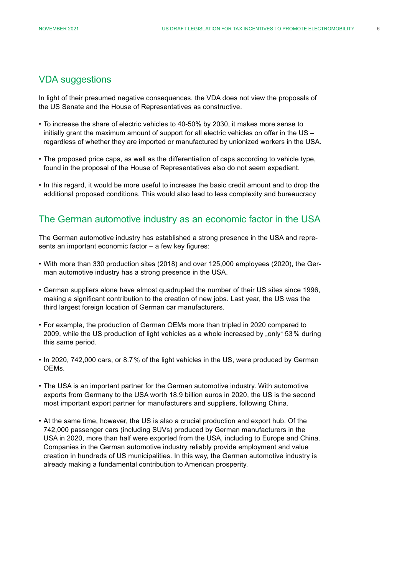### VDA suggestions

In light of their presumed negative consequences, the VDA does not view the proposals of the US Senate and the House of Representatives as constructive.

- To increase the share of electric vehicles to 40-50% by 2030, it makes more sense to initially grant the maximum amount of support for all electric vehicles on offer in the US – regardless of whether they are imported or manufactured by unionized workers in the USA.
- The proposed price caps, as well as the differentiation of caps according to vehicle type, found in the proposal of the House of Representatives also do not seem expedient.
- In this regard, it would be more useful to increase the basic credit amount and to drop the additional proposed conditions. This would also lead to less complexity and bureaucracy

#### The German automotive industry as an economic factor in the USA

The German automotive industry has established a strong presence in the USA and represents an important economic factor – a few key figures:

- With more than 330 production sites (2018) and over 125,000 employees (2020), the German automotive industry has a strong presence in the USA.
- German suppliers alone have almost quadrupled the number of their US sites since 1996, making a significant contribution to the creation of new jobs. Last year, the US was the third largest foreign location of German car manufacturers.
- For example, the production of German OEMs more than tripled in 2020 compared to 2009, while the US production of light vehicles as a whole increased by "only" 53% during this same period.
- In 2020, 742,000 cars, or 8.7% of the light vehicles in the US, were produced by German OEMs.
- The USA is an important partner for the German automotive industry. With automotive exports from Germany to the USA worth 18.9 billion euros in 2020, the US is the second most important export partner for manufacturers and suppliers, following China.
- At the same time, however, the US is also a crucial production and export hub. Of the 742,000 passenger cars (including SUVs) produced by German manufacturers in the USA in 2020, more than half were exported from the USA, including to Europe and China. Companies in the German automotive industry reliably provide employment and value creation in hundreds of US municipalities. In this way, the German automotive industry is already making a fundamental contribution to American prosperity.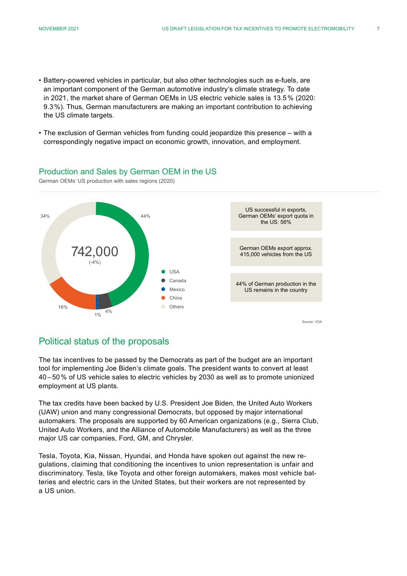- Battery-powered vehicles in particular, but also other technologies such as e-fuels, are an important component of the German automotive industry's climate strategy. To date in 2021, the market share of German OEMs in US electric vehicle sales is 13.5% (2020: 9.3%). Thus, German manufacturers are making an important contribution to achieving the US climate targets.
- The exclusion of German vehicles from funding could jeopardize this presence with a correspondingly negative impact on economic growth, innovation, and employment.

#### Production and Sales by German OEM in the US

German OEMs' US production with sales regions (2020)



### Political status of the proposals

The tax incentives to be passed by the Democrats as part of the budget are an important tool for implementing Joe Biden's climate goals. The president wants to convert at least 40 – 50% of US vehicle sales to electric vehicles by 2030 as well as to promote unionized employment at US plants.

The tax credits have been backed by U.S. President Joe Biden, the United Auto Workers (UAW) union and many congressional Democrats, but opposed by major international automakers. The proposals are supported by 60 American organizations (e.g., Sierra Club, United Auto Workers, and the Alliance of Automobile Manufacturers) as well as the three major US car companies, Ford, GM, and Chrysler.

Tesla, Toyota, Kia, Nissan, Hyundai, and Honda have spoken out against the new regulations, claiming that conditioning the incentives to union representation is unfair and discriminatory. Tesla, like Toyota and other foreign automakers, makes most vehicle batteries and electric cars in the United States, but their workers are not represented by a US union.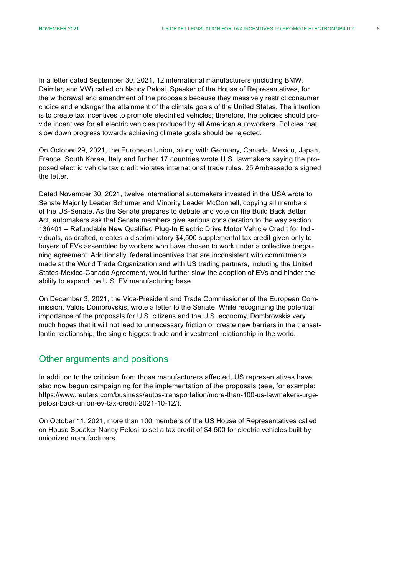In a letter dated September 30, 2021, 12 international manufacturers (including BMW, Daimler, and VW) called on Nancy Pelosi, Speaker of the House of Representatives, for the withdrawal and amendment of the proposals because they massively restrict consumer choice and endanger the attainment of the climate goals of the United States. The intention is to create tax incentives to promote electrified vehicles; therefore, the policies should provide incentives for all electric vehicles produced by all American autoworkers. Policies that slow down progress towards achieving climate goals should be rejected.

On October 29, 2021, the European Union, along with Germany, Canada, Mexico, Japan, France, South Korea, Italy and further 17 countries wrote U.S. lawmakers saying the proposed electric vehicle tax credit violates international trade rules. 25 Ambassadors signed the letter.

Dated November 30, 2021, twelve international automakers invested in the USA wrote to Senate Majority Leader Schumer and Minority Leader McConnell, copying all members of the US-Senate. As the Senate prepares to debate and vote on the Build Back Better Act, automakers ask that Senate members give serious consideration to the way section 136401 – Refundable New Qualified Plug-In Electric Drive Motor Vehicle Credit for Individuals, as drafted, creates a discriminatory \$4,500 supplemental tax credit given only to buyers of EVs assembled by workers who have chosen to work under a collective bargaining agreement. Additionally, federal incentives that are inconsistent with commitments made at the World Trade Organization and with US trading partners, including the United States-Mexico-Canada Agreement, would further slow the adoption of EVs and hinder the ability to expand the U.S. EV manufacturing base.

On December 3, 2021, the Vice-President and Trade Commissioner of the European Commission, Valdis Dombrovskis, wrote a letter to the Senate. While recognizing the potential importance of the proposals for U.S. citizens and the U.S. economy, Dombrovskis very much hopes that it will not lead to unnecessary friction or create new barriers in the transatlantic relationship, the single biggest trade and investment relationship in the world.

#### Other arguments and positions

In addition to the criticism from those manufacturers affected, US representatives have also now begun campaigning for the implementation of the proposals (see, for example: https://www.reuters.com/business/autos-transportation/more-than-100-us-lawmakers-urgepelosi-back-union-ev-tax-credit-2021-10-12/).

On October 11, 2021, more than 100 members of the US House of Representatives called on House Speaker Nancy Pelosi to set a tax credit of \$4,500 for electric vehicles built by unionized manufacturers.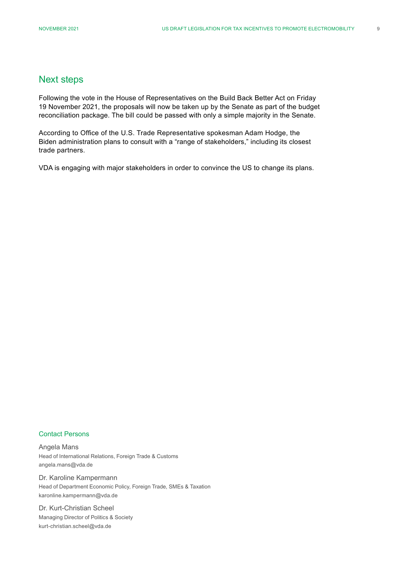#### Next steps

Following the vote in the House of Representatives on the Build Back Better Act on Friday 19 November 2021, the proposals will now be taken up by the Senate as part of the budget reconciliation package. The bill could be passed with only a simple majority in the Senate.

According to Office of the U.S. Trade Representative spokesman Adam Hodge, the Biden administration plans to consult with a "range of stakeholders," including its closest trade partners.

VDA is engaging with major stakeholders in order to convince the US to change its plans.

#### Contact Persons

Angela Mans Head of International Relations, Foreign Trade & Customs angela.mans@vda.de

Dr. Karoline Kampermann Head of Department Economic Policy, Foreign Trade, SMEs & Taxation karonline.kampermann@vda.de

Dr. Kurt-Christian Scheel Managing Director of Politics & Society kurt-christian.scheel@vda.de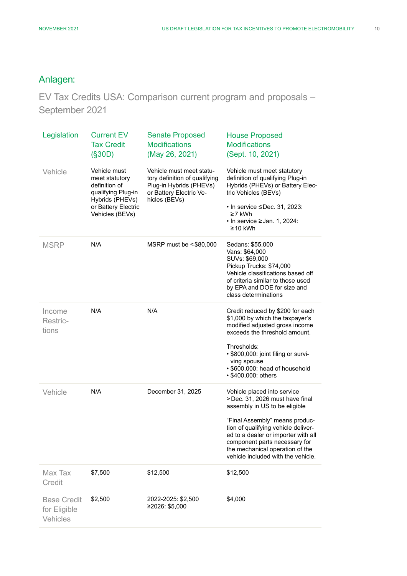# Anlagen:

EV Tax Credits USA: Comparison current program and proposals – September 2021

| Legislation                                    | <b>Current EV</b><br><b>Tax Credit</b><br>(S30D)                                                                                   | <b>Senate Proposed</b><br><b>Modifications</b><br>(May 26, 2021)                                                                 | <b>House Proposed</b><br><b>Modifications</b><br>(Sept. 10, 2021)                                                                                                                                                                                                                                                        |
|------------------------------------------------|------------------------------------------------------------------------------------------------------------------------------------|----------------------------------------------------------------------------------------------------------------------------------|--------------------------------------------------------------------------------------------------------------------------------------------------------------------------------------------------------------------------------------------------------------------------------------------------------------------------|
| Vehicle                                        | Vehicle must<br>meet statutory<br>definition of<br>qualifying Plug-in<br>Hybrids (PHEVs)<br>or Battery Electric<br>Vehicles (BEVs) | Vehicle must meet statu-<br>tory definition of qualifying<br>Plug-in Hybrids (PHEVs)<br>or Battery Electric Ve-<br>hicles (BEVs) | Vehicle must meet statutory<br>definition of qualifying Plug-in<br>Hybrids (PHEVs) or Battery Elec-<br>tric Vehicles (BEVs)<br>$\cdot$ In service $\leq$ Dec. 31, 2023:<br>≥7 kWh<br>$\cdot$ In service $\geq$ Jan. 1, 2024:<br>≥10 kWh                                                                                  |
| <b>MSRP</b>                                    | N/A                                                                                                                                | MSRP must be <\$80,000                                                                                                           | Sedans: \$55,000<br>Vans: \$64,000<br>SUVs: \$69,000<br>Pickup Trucks: \$74,000<br>Vehicle classifications based off<br>of criteria similar to those used<br>by EPA and DOE for size and<br>class determinations                                                                                                         |
| Income<br>Restric-<br>tions                    | N/A                                                                                                                                | N/A                                                                                                                              | Credit reduced by \$200 for each<br>\$1,000 by which the taxpayer's<br>modified adjusted gross income<br>exceeds the threshold amount.<br>Thresholds:<br>• \$800,000: joint filing or survi-<br>ving spouse<br>· \$600,000: head of household<br>• \$400,000: others                                                     |
| Vehicle                                        | N/A                                                                                                                                | December 31, 2025                                                                                                                | Vehicle placed into service<br>>Dec. 31, 2026 must have final<br>assembly in US to be eligible<br>"Final Assembly" means produc-<br>tion of qualifying vehicle deliver-<br>ed to a dealer or importer with all<br>component parts necessary for<br>the mechanical operation of the<br>vehicle included with the vehicle. |
| Max Tax<br>Credit                              | \$7,500                                                                                                                            | \$12,500                                                                                                                         | \$12,500                                                                                                                                                                                                                                                                                                                 |
| <b>Base Credit</b><br>for Eligible<br>Vehicles | \$2,500                                                                                                                            | 2022-2025: \$2,500<br>≥2026: \$5,000                                                                                             | \$4,000                                                                                                                                                                                                                                                                                                                  |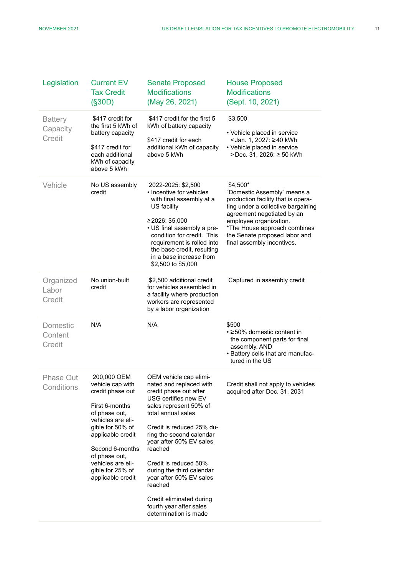| Legislation                          | <b>Current EV</b><br><b>Tax Credit</b><br>(S30D)                                                                                                                                                                                                       | <b>Senate Proposed</b><br><b>Modifications</b><br>(May 26, 2021)                                                                                                                                                                                                                                                                               | <b>House Proposed</b><br><b>Modifications</b><br>(Sept. 10, 2021)                                                                                                                                                                                                          |
|--------------------------------------|--------------------------------------------------------------------------------------------------------------------------------------------------------------------------------------------------------------------------------------------------------|------------------------------------------------------------------------------------------------------------------------------------------------------------------------------------------------------------------------------------------------------------------------------------------------------------------------------------------------|----------------------------------------------------------------------------------------------------------------------------------------------------------------------------------------------------------------------------------------------------------------------------|
| <b>Battery</b><br>Capacity<br>Credit | \$417 credit for<br>the first 5 kWh of<br>battery capacity<br>\$417 credit for<br>each additional<br>kWh of capacity<br>above 5 kWh                                                                                                                    | \$417 credit for the first 5<br>kWh of battery capacity<br>\$417 credit for each<br>additional kWh of capacity<br>above 5 kWh                                                                                                                                                                                                                  | \$3,500<br>• Vehicle placed in service<br><jan. 1,="" 2027:="" kwh<br="" ≥40="">• Vehicle placed in service<br/>&gt;Dec. 31, 2026: ≥ 50 kWh</jan.>                                                                                                                         |
| Vehicle                              | No US assembly<br>credit                                                                                                                                                                                                                               | 2022-2025: \$2,500<br>• Incentive for vehicles<br>with final assembly at a<br>US facility<br>≥2026: \$5,000<br>• US final assembly a pre-<br>condition for credit. This<br>requirement is rolled into<br>the base credit, resulting<br>in a base increase from<br>\$2,500 to \$5,000                                                           | \$4,500*<br>"Domestic Assembly" means a<br>production facility that is opera-<br>ting under a collective bargaining<br>agreement negotiated by an<br>employee organization.<br>*The House approach combines<br>the Senate proposed labor and<br>final assembly incentives. |
| Organized<br>Labor<br>Credit         | No union-built<br>credit                                                                                                                                                                                                                               | \$2,500 additional credit<br>for vehicles assembled in<br>a facility where production<br>workers are represented<br>by a labor organization                                                                                                                                                                                                    | Captured in assembly credit                                                                                                                                                                                                                                                |
| <b>Domestic</b><br>Content<br>Credit | N/A                                                                                                                                                                                                                                                    | N/A                                                                                                                                                                                                                                                                                                                                            | \$500<br>• ≥50% domestic content in<br>the component parts for final<br>assembly, AND<br>• Battery cells that are manufac-<br>tured in the US                                                                                                                              |
| <b>Phase Out</b><br>Conditions       | 200,000 OEM<br>vehicle cap with<br>credit phase out<br>First 6-months<br>of phase out,<br>vehicles are eli-<br>gible for 50% of<br>applicable credit<br>Second 6-months<br>of phase out,<br>vehicles are eli-<br>gible for 25% of<br>applicable credit | OEM vehicle cap elimi-<br>nated and replaced with<br>credit phase out after<br>USG certifies new EV<br>sales represent 50% of<br>total annual sales<br>Credit is reduced 25% du-<br>ring the second calendar<br>year after 50% EV sales<br>reached<br>Credit is reduced 50%<br>during the third calendar<br>year after 50% EV sales<br>reached | Credit shall not apply to vehicles<br>acquired after Dec. 31, 2031                                                                                                                                                                                                         |